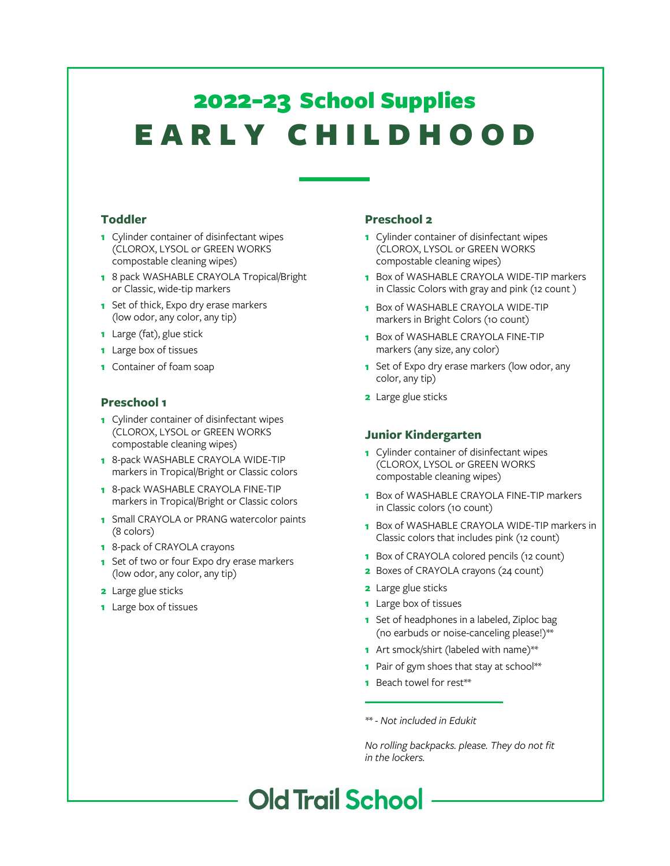# E ARLY CHILDHOOD 2022-23 School Supplies

#### **Toddler**

- **1** Cylinder container of disinfectant wipes (CLOROX, LYSOL or GREEN WORKS compostable cleaning wipes)
- **1** 8 pack WASHABLE CRAYOLA Tropical/Bright or Classic, wide-tip markers
- **1** Set of thick, Expo dry erase markers (low odor, any color, any tip)
- **1** Large (fat), glue stick
- **1** Large box of tissues
- **1** Container of foam soap

#### **Preschool 1**

- **1** Cylinder container of disinfectant wipes (CLOROX, LYSOL or GREEN WORKS compostable cleaning wipes)
- **1** 8-pack WASHABLE CRAYOLA WIDE-TIP markers in Tropical/Bright or Classic colors
- **1** 8-pack WASHABLE CRAYOLA FINE-TIP markers in Tropical/Bright or Classic colors
- **1** Small CRAYOLA or PRANG watercolor paints (8 colors)
- **1** 8-pack of CRAYOLA crayons
- **1** Set of two or four Expo dry erase markers (low odor, any color, any tip)
- **2** Large glue sticks
- **1** Large box of tissues

### **Preschool 2**

- **1** Cylinder container of disinfectant wipes (CLOROX, LYSOL or GREEN WORKS compostable cleaning wipes)
- **1** Box of WASHABLE CRAYOLA WIDE-TIP markers in Classic Colors with gray and pink (12 count )
- **1** Box of WASHABLE CRAYOLA WIDE-TIP markers in Bright Colors (10 count)
- **1** Box of WASHABLE CRAYOLA FINE-TIP markers (any size, any color)
- **1** Set of Expo dry erase markers (low odor, any color, any tip)
- **2** Large glue sticks

#### **Junior Kindergarten**

- **1** Cylinder container of disinfectant wipes (CLOROX, LYSOL or GREEN WORKS compostable cleaning wipes)
- **1** Box of WASHABLE CRAYOLA FINE-TIP markers in Classic colors (10 count)
- **1** Box of WASHABLE CRAYOLA WIDE-TIP markers in Classic colors that includes pink (12 count)
- **1** Box of CRAYOLA colored pencils (12 count)
- **2** Boxes of CRAYOLA crayons (24 count)
- **2** Large glue sticks
- **1** Large box of tissues
- **1** Set of headphones in a labeled, Ziploc bag (no earbuds or noise-canceling please!)\*\*
- **1** Art smock/shirt (labeled with name)\*\*
- **1** Pair of gym shoes that stay at school\*\*
- **1** Beach towel for rest\*\*

*\*\* - Not included in Edukit*

*No rolling backpacks. please. They do not fit in the lockers.*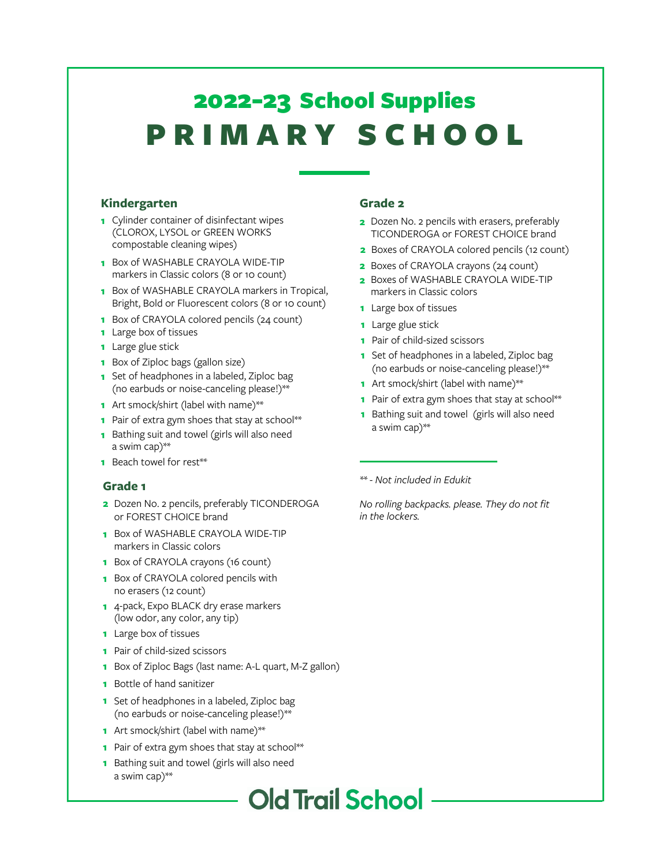# P R I M A R Y S C H O O L 2022-23 School Supplies

#### **Kindergarten**

- **1** Cylinder container of disinfectant wipes (CLOROX, LYSOL or GREEN WORKS compostable cleaning wipes)
- **1** Box of WASHABLE CRAYOLA WIDE-TIP markers in Classic colors (8 or 10 count)
- **1** Box of WASHABLE CRAYOLA markers in Tropical, Bright, Bold or Fluorescent colors (8 or 10 count)
- **1** Box of CRAYOLA colored pencils (24 count)
- **1** Large box of tissues
- **1** Large glue stick
- **1** Box of Ziploc bags (gallon size)
- **1** Set of headphones in a labeled, Ziploc bag (no earbuds or noise-canceling please!)\*\*
- **1** Art smock/shirt (label with name)\*\*
- **1** Pair of extra gym shoes that stay at school\*\*
- **1** Bathing suit and towel (girls will also need a swim cap)\*\*
- **1** Beach towel for rest\*\*

#### **Grade 1**

- **2** Dozen No. 2 pencils, preferably TICONDEROGA or FOREST CHOICE brand
- **1** Box of WASHABLE CRAYOLA WIDE-TIP markers in Classic colors
- **1** Box of CRAYOLA crayons (16 count)
- **1** Box of CRAYOLA colored pencils with no erasers (12 count)
- **1** 4-pack, Expo BLACK dry erase markers (low odor, any color, any tip)
- **1** Large box of tissues
- **1** Pair of child-sized scissors
- **1** Box of Ziploc Bags (last name: A-L quart, M-Z gallon)
- **1** Bottle of hand sanitizer
- **1** Set of headphones in a labeled, Ziploc bag (no earbuds or noise-canceling please!)\*\*
- **1** Art smock/shirt (label with name)\*\*
- **1** Pair of extra gym shoes that stay at school\*\*
- **1** Bathing suit and towel (girls will also need a swim cap)\*\*

#### **Grade 2**

- **2** Dozen No. 2 pencils with erasers, preferably TICONDEROGA or FOREST CHOICE brand
- **2** Boxes of CRAYOLA colored pencils (12 count)
- **2** Boxes of CRAYOLA crayons (24 count)
- **2** Boxes of WASHABLE CRAYOLA WIDE-TIP markers in Classic colors
- **1** Large box of tissues
- **1** Large glue stick
- **1** Pair of child-sized scissors
- **1** Set of headphones in a labeled, Ziploc bag (no earbuds or noise-canceling please!)\*\*
- **1** Art smock/shirt (label with name)\*\*
- **1** Pair of extra gym shoes that stay at school\*\*
- **1** Bathing suit and towel (girls will also need a swim cap)\*\*

*\*\* - Not included in Edukit*

*No rolling backpacks. please. They do not fit in the lockers.*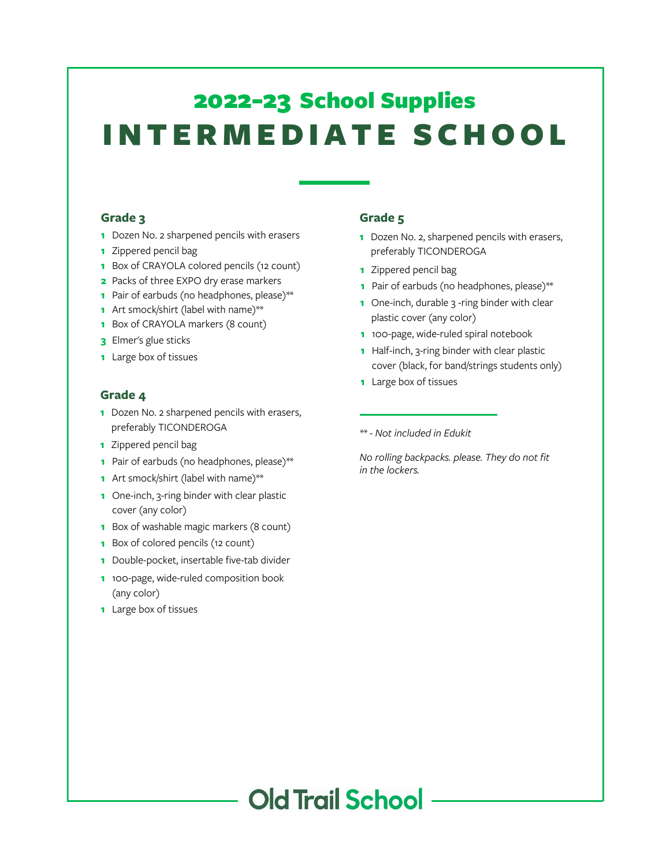## I N TER M E D IATE SC H O O L 2022-23 School Supplies

#### **Grade 3**

- Dozen No. 2 sharpened pencils with erasers
- Zippered pencil bag
- Box of CRAYOLA colored pencils (12 count)
- Packs of three EXPO dry erase markers
- Pair of earbuds (no headphones, please)\*\*
- Art smock/shirt (label with name)\*\*
- Box of CRAYOLA markers (8 count)
- Elmer's glue sticks
- Large box of tissues

#### **Grade 4**

- Dozen No. 2 sharpened pencils with erasers, preferably TICONDEROGA
- Zippered pencil bag
- Pair of earbuds (no headphones, please)\*\*
- Art smock/shirt (label with name)\*\*
- One-inch, 3-ring binder with clear plastic cover (any color)
- Box of washable magic markers (8 count)
- Box of colored pencils (12 count)
- Double-pocket, insertable five-tab divider
- 100-page, wide-ruled composition book (any color)
- Large box of tissues

#### **Grade 5**

- Dozen No. 2, sharpened pencils with erasers, preferably TICONDEROGA
- Zippered pencil bag
- Pair of earbuds (no headphones, please)\*\*
- One-inch, durable 3 -ring binder with clear plastic cover (any color)
- 100-page, wide-ruled spiral notebook
- Half-inch, 3-ring binder with clear plastic cover (black, for band/strings students only)
- Large box of tissues

*\*\* - Not included in Edukit*

*No rolling backpacks. please. They do not fit in the lockers.*